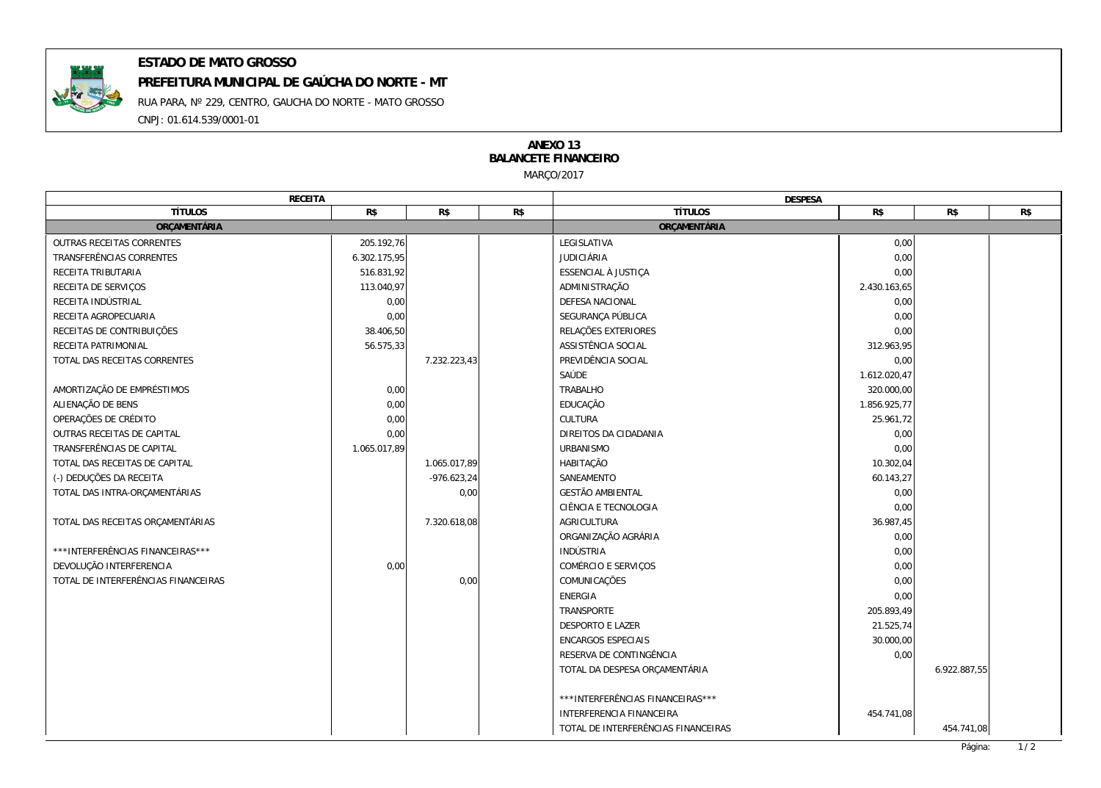

## **ESTADO DE MATO GROSSO**

RUA PARA, Nº 229, CENTRO, GAUCHA DO NORTE - MATO GROSSO CNPJ: 01.614.539/0001-01 **PREFEITURA MUNICIPAL DE GAÚCHA DO NORTE - MT**

## MARÇO/2017 **ANEXO 13 BALANCETE FINANCEIRO**

| RECEITA                             |              |               |     | <b>DESPESA</b>                      |              |              |  |
|-------------------------------------|--------------|---------------|-----|-------------------------------------|--------------|--------------|--|
| <b>TÍTULOS</b>                      | R\$          | R\$           | R\$ | <b>TÍTULOS</b>                      | R\$          | R\$<br>R\$   |  |
| ORÇAMENTÁRIA                        |              |               |     | ORÇAMENTÁRIA                        |              |              |  |
| OUTRAS RECEITAS CORRENTES           | 205.192,76   |               |     | LEGISLATIVA                         | 0,00         |              |  |
| TRANSFERÊNCIAS CORRENTES            | 6.302.175,95 |               |     | <b>JUDICIÁRIA</b>                   | 0,00         |              |  |
| RECEITA TRIBUTARIA                  | 516.831,92   |               |     | ESSENCIAL À JUSTIÇA                 | 0,00         |              |  |
| RECEITA DE SERVICOS                 | 113.040,97   |               |     | ADMINISTRAÇÃO                       | 2.430.163,65 |              |  |
| RECEITA INDÚSTRIAL                  | 0,00         |               |     | DEFESA NACIONAL                     | 0,00         |              |  |
| RECEITA AGROPECUARIA                | 0,00         |               |     | SEGURANÇA PÚBLICA                   | 0,00         |              |  |
| RECEITAS DE CONTRIBUIÇÕES           | 38.406,50    |               |     | RELAÇÕES EXTERIORES                 | 0,00         |              |  |
| RECEITA PATRIMONIAL                 | 56.575,33    |               |     | ASSISTÊNCIA SOCIAL                  | 312.963,95   |              |  |
| TOTAL DAS RECEITAS CORRENTES        |              | 7.232.223,43  |     | PREVIDÊNCIA SOCIAL                  | 0,00         |              |  |
|                                     |              |               |     | SAÚDE                               | 1.612.020,47 |              |  |
| AMORTIZAÇÃO DE EMPRÉSTIMOS          | 0,00         |               |     | <b>TRABALHO</b>                     | 320.000,00   |              |  |
| ALIENAÇÃO DE BENS                   | 0,00         |               |     | EDUCAÇÃO                            | 1.856.925,77 |              |  |
| OPERAÇÕES DE CRÉDITO                | 0,00         |               |     | CULTURA                             | 25.961,72    |              |  |
| OUTRAS RECEITAS DE CAPITAL          | 0,00         |               |     | DIREITOS DA CIDADANIA               | 0,00         |              |  |
| TRANSFERÊNCIAS DE CAPITAL           | 1.065.017,89 |               |     | <b>URBANISMO</b>                    | 0,00         |              |  |
| TOTAL DAS RECEITAS DE CAPITAL       |              | 1.065.017,89  |     | HABITAÇÃO                           | 10.302,04    |              |  |
| (-) DEDUÇÕES DA RECEITA             |              | $-976.623,24$ |     | SANEAMENTO                          | 60.143,27    |              |  |
| TOTAL DAS INTRA-ORÇAMENTÁRIAS       |              | 0,00          |     | <b>GESTÃO AMBIENTAL</b>             | 0,00         |              |  |
|                                     |              |               |     | CIÊNCIA E TECNOLOGIA                | 0,00         |              |  |
| TOTAL DAS RECEITAS ORÇAMENTÁRIAS    |              | 7.320.618,08  |     | AGRICULTURA                         | 36.987,45    |              |  |
|                                     |              |               |     | ORGANIZAÇÃO AGRÁRIA                 | 0,00         |              |  |
| *** INTERFERÊNCIAS FINANCEIRAS***   |              |               |     | INDÚSTRIA                           | 0,00         |              |  |
| DEVOLUÇÃO INTERFERENCIA             | 0,00         |               |     | COMÉRCIO E SERVIÇOS                 | 0,00         |              |  |
| TOTAL DE INTERFERÊNCIAS FINANCEIRAS |              | 0,00          |     | COMUNICAÇÕES                        | 0,00         |              |  |
|                                     |              |               |     | <b>ENERGIA</b>                      | 0,00         |              |  |
|                                     |              |               |     | TRANSPORTE                          | 205.893,49   |              |  |
|                                     |              |               |     | <b>DESPORTO E LAZER</b>             | 21.525,74    |              |  |
|                                     |              |               |     | ENCARGOS ESPECIAIS                  | 30.000,00    |              |  |
|                                     |              |               |     | RESERVA DE CONTINGÊNCIA             | 0,00         |              |  |
|                                     |              |               |     | TOTAL DA DESPESA ORÇAMENTÁRIA       |              | 6.922.887,55 |  |
|                                     |              |               |     |                                     |              |              |  |
|                                     |              |               |     | *** INTERFERÊNCIAS FINANCEIRAS***   |              |              |  |
|                                     |              |               |     | INTERFERENCIA FINANCEIRA            | 454.741,08   |              |  |
|                                     |              |               |     | TOTAL DE INTERFERÊNCIAS FINANCEIRAS |              | 454.741,08   |  |